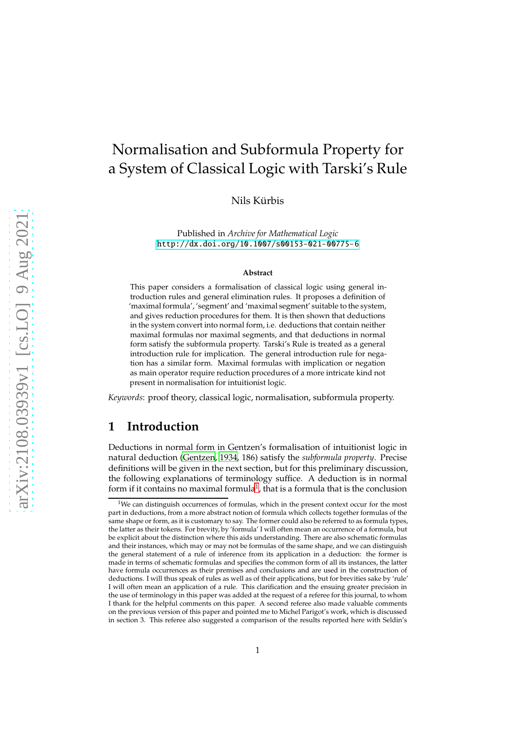# Normalisation and Subformula Property for a System of Classical Logic with Tarski's Rule

Nils Kürbis

Published in *Archive for Mathematical Logic* <http://dx.doi.org/10.1007/s00153-021-00775-6>

#### **Abstract**

This paper considers a formalisation of classical logic using general introduction rules and general elimination rules. It proposes a definition of 'maximal formula', 'segment' and 'maximal segment' suitable to the system, and gives reduction procedures for them. It is then shown that deductions in the system convert into normal form, i.e. deductions that contain neither maximal formulas nor maximal segments, and that deductions in normal form satisfy the subformula property. Tarski's Rule is treated as a general introduction rule for implication. The general introduction rule for negation has a similar form. Maximal formulas with implication or negation as main operator require reduction procedures of a more intricate kind not present in normalisation for intuitionist logic.

*Keywords*: proof theory, classical logic, normalisation, subformula property.

## **1 Introduction**

Deductions in normal form in Gentzen's formalisation of intuitionist logic in natural deduction [\(Gentzen, 1934,](#page-23-0) 186) satisfy the *subformula property*. Precise definitions will be given in the next section, but for this preliminary discussion, the following explanations of terminology suffice. A deduction is in normal form if it contains no maximal formula $^1$  $^1$ , that is a formula that is the conclusion

<span id="page-0-0"></span> $1$ We can distinguish occurrences of formulas, which in the present context occur for the most part in deductions, from a more abstract notion of formula which collects together formulas of the same shape or form, as it is customary to say. The former could also be referred to as formula types, the latter as their tokens. For brevity, by 'formula' I will often mean an occurrence of a formula, but be explicit about the distinction where this aids understanding. There are also schematic formulas and their instances, which may or may not be formulas of the same shape, and we can distinguish the general statement of a rule of inference from its application in a deduction: the former is made in terms of schematic formulas and specifies the common form of all its instances, the latter have formula occurrences as their premises and conclusions and are used in the construction of deductions. I will thus speak of rules as well as of their applications, but for brevities sake by 'rule' I will often mean an application of a rule. This clarification and the ensuing greater precision in the use of terminology in this paper was added at the request of a referee for this journal, to whom I thank for the helpful comments on this paper. A second referee also made valuable comments on the previous version of this paper and pointed me to Michel Parigot's work, which is discussed in section 3. This referee also suggested a comparison of the results reported here with Seldin's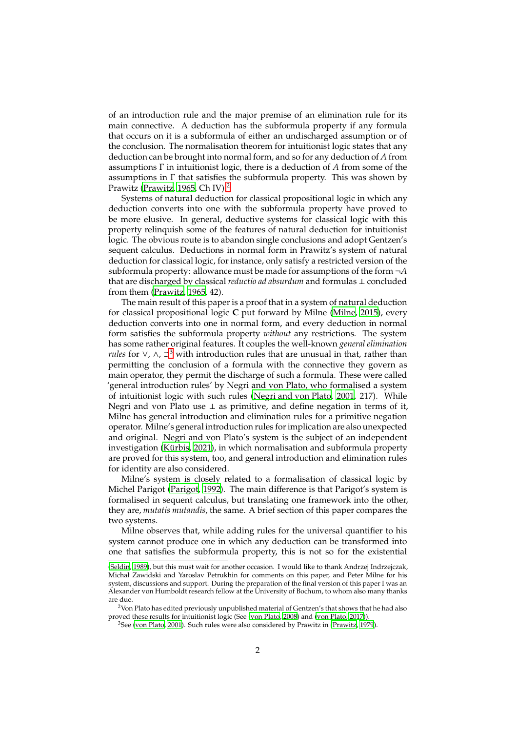of an introduction rule and the major premise of an elimination rule for its main connective. A deduction has the subformula property if any formula that occurs on it is a subformula of either an undischarged assumption or of the conclusion. The normalisation theorem for intuitionist logic states that any deduction can be brought into normal form, and so for any deduction of *A* from assumptions Γ in intuitionist logic, there is a deduction of *A* from some of the assumptions in Γ that satisfies the subformula property. This was shown by Prawitz [\(Prawitz](#page-23-1), [1965,](#page-23-1) Ch IV).<sup>[2](#page-1-0)</sup>

Systems of natural deduction for classical propositional logic in which any deduction converts into one with the subformula property have proved to be more elusive. In general, deductive systems for classical logic with this property relinquish some of the features of natural deduction for intuitionist logic. The obvious route is to abandon single conclusions and adopt Gentzen's sequent calculus. Deductions in normal form in Prawitz's system of natural deduction for classical logic, for instance, only satisfy a restricted version of the subformula property: allowance must be made for assumptions of the form ¬*A* that are discharged by classical *reductio ad absurdum* and formulas ⊥ concluded from them [\(Prawitz, 1965,](#page-23-1) 42).

The main result of this paper is a proof that in a system of natural deduction for classical propositional logic **C** put forward by Milne [\(Milne, 2015\)](#page-23-2), every deduction converts into one in normal form, and every deduction in normal form satisfies the subformula property *without* any restrictions. The system has some rather original features. It couples the well-known *general elimination rules* for ∨, ∧, ⊃<sup>[3](#page-1-1)</sup> with introduction rules that are unusual in that, rather than permitting the conclusion of a formula with the connective they govern as main operator, they permit the discharge of such a formula. These were called 'general introduction rules' by Negri and von Plato, who formalised a system of intuitionist logic with such rules [\(Negri and von Plato](#page-23-3), [2001,](#page-23-3) 217). While Negri and von Plato use ⊥ as primitive, and define negation in terms of it, Milne has general introduction and elimination rules for a primitive negation operator. Milne's general introduction rules for implication are also unexpected and original. Negri and von Plato's system is the subject of an independent investigation (Kürbis, 2021), in which normalisation and subformula property are proved for this system, too, and general introduction and elimination rules for identity are also considered.

Milne's system is closely related to a formalisation of classical logic by Michel Parigot [\(Parigot](#page-23-5), [1992\)](#page-23-5). The main difference is that Parigot's system is formalised in sequent calculus, but translating one framework into the other, they are, *mutatis mutandis*, the same. A brief section of this paper compares the two systems.

Milne observes that, while adding rules for the universal quantifier to his system cannot produce one in which any deduction can be transformed into one that satisfies the subformula property, this is not so for the existential

[<sup>\(</sup>Seldin](#page-23-6), [1989](#page-23-6)), but this must wait for another occasion. I would like to thank Andrzej Indrzejczak, Michał Zawidski and Yaroslav Petrukhin for comments on this paper, and Peter Milne for his system, discussions and support. During the preparation of the final version of this paper I was an Alexander von Humboldt research fellow at the University of Bochum, to whom also many thanks are due.

<sup>&</sup>lt;sup>2</sup>Von Plato has edited previously unpublished material of Gentzen's that shows that he had also proved these results for intuitionist logic (See [\(von Plato](#page-23-7), [2008\)](#page-23-7) and [\(von Plato](#page-24-0), [2017](#page-24-0))).

<span id="page-1-1"></span><span id="page-1-0"></span> $3$ See [\(von Plato](#page-23-8), [2001](#page-23-8)). Such rules were also considered by Prawitz in [\(Prawitz](#page-23-9), [1979](#page-23-9)).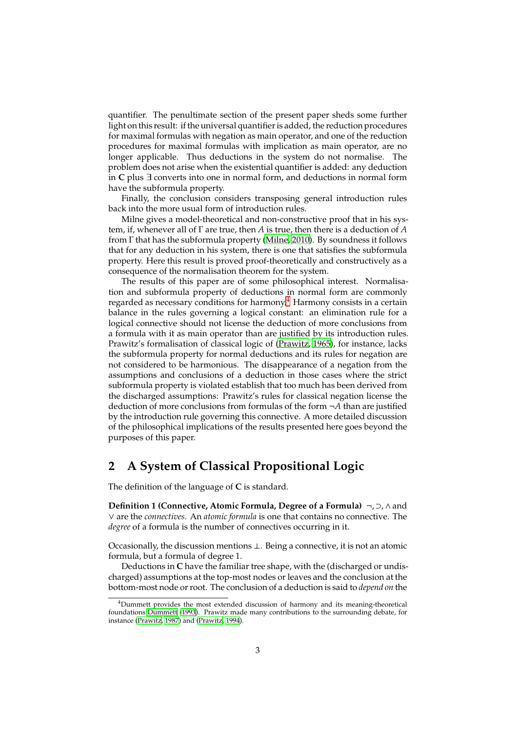quantifier. The penultimate section of the present paper sheds some further light on this result: if the universal quantifier is added, the reduction procedures for maximal formulas with negation as main operator, and one of the reduction procedures for maximal formulas with implication as main operator, are no longer applicable. Thus deductions in the system do not normalise. The problem does not arise when the existential quantifier is added: any deduction in **C** plus ∃ converts into one in normal form, and deductions in normal form have the subformula property.

Finally, the conclusion considers transposing general introduction rules back into the more usual form of introduction rules.

Milne gives a model-theoretical and non-constructive proof that in his system, if, whenever all of Γ are true, then *A* is true, then there is a deduction of *A* from Γ that has the subformula property [\(Milne, 2010](#page-23-10)). By soundness it follows that for any deduction in his system, there is one that satisfies the subformula property. Here this result is proved proof-theoretically and constructively as a consequence of the normalisation theorem for the system.

The results of this paper are of some philosophical interest. Normalisation and subformula property of deductions in normal form are commonly regarded as necessary conditions for harmony.<sup>[4](#page-2-0)</sup> Harmony consists in a certain balance in the rules governing a logical constant: an elimination rule for a logical connective should not license the deduction of more conclusions from a formula with it as main operator than are justified by its introduction rules. Prawitz's formalisation of classical logic of [\(Prawitz, 1965\)](#page-23-1), for instance, lacks the subformula property for normal deductions and its rules for negation are not considered to be harmonious. The disappearance of a negation from the assumptions and conclusions of a deduction in those cases where the strict subformula property is violated establish that too much has been derived from the discharged assumptions: Prawitz's rules for classical negation license the deduction of more conclusions from formulas of the form ¬*A* than are justified by the introduction rule governing this connective. A more detailed discussion of the philosophical implications of the results presented here goes beyond the purposes of this paper.

## **2 A System of Classical Propositional Logic**

The definition of the language of **C** is standard.

**Definition 1 (Connective, Atomic Formula, Degree of a Formula)** ¬, ⊃,∧and ∨ are the *connectives*. An *atomic formula* is one that contains no connective. The *degree* of a formula is the number of connectives occurring in it.

Occasionally, the discussion mentions ⊥. Being a connective, it is not an atomic formula, but a formula of degree 1.

Deductions in **C** have the familiar tree shape, with the (discharged or undischarged) assumptions at the top-most nodes or leaves and the conclusion at the bottom-most node or root. The conclusion of a deduction is said to *depend on* the

<span id="page-2-0"></span><sup>&</sup>lt;sup>4</sup>Dummett provides the most extended discussion of harmony and its meaning-theoretical foundations [Dummett \(1993](#page-23-11)). Prawitz made many contributions to the surrounding debate, for instance [\(Prawitz, 1987\)](#page-23-12) and [\(Prawitz](#page-23-13), [1994](#page-23-13)).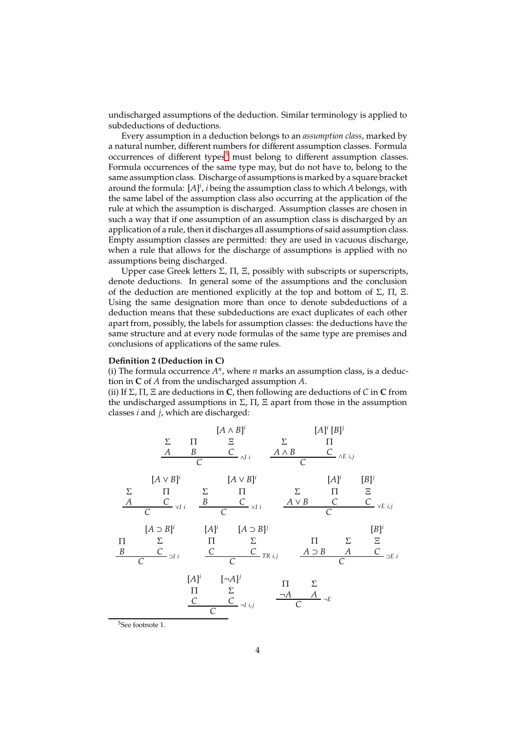undischarged assumptions of the deduction. Similar terminology is applied to subdeductions of deductions.

Every assumption in a deduction belongs to an *assumption class*, marked by a natural number, different numbers for different assumption classes. Formula occurrences of different types<sup>[5](#page-3-0)</sup> must belong to different assumption classes. Formula occurrences of the same type may, but do not have to, belong to the same assumption class. Discharge of assumptions is marked by a square bracket around the formula: [A]<sup>i</sup>, *i* being the assumption class to which *A* belongs, with the same label of the assumption class also occurring at the application of the rule at which the assumption is discharged. Assumption classes are chosen in such a way that if one assumption of an assumption class is discharged by an application of a rule, then it discharges all assumptions of said assumption class. Empty assumption classes are permitted: they are used in vacuous discharge, when a rule that allows for the discharge of assumptions is applied with no assumptions being discharged.

Upper case Greek letters  $\Sigma$ ,  $\Pi$ ,  $\Sigma$ , possibly with subscripts or superscripts, denote deductions. In general some of the assumptions and the conclusion of the deduction are mentioned explicitly at the top and bottom of  $\Sigma$ ,  $\Pi$ ,  $\Xi$ . Using the same designation more than once to denote subdeductions of a deduction means that these subdeductions are exact duplicates of each other apart from, possibly, the labels for assumption classes: the deductions have the same structure and at every node formulas of the same type are premises and conclusions of applications of the same rules.

#### **Definition 2 (Deduction in C)**

(i) The formula occurrence  $A<sup>n</sup>$ , where  $n$  marks an assumption class, is a deduction in **C** of *A* from the undischarged assumption *A*.

(ii) If Σ, Π, Ξ are deductions in **C**, then following are deductions of *C* in **C** from the undischarged assumptions in  $\Sigma$ ,  $\Pi$ ,  $\Xi$  apart from those in the assumption classes *i* and *j*, which are discharged:

Σ *A* Π *B* [*A* ∧ *B*] *i* Ξ *<sup>C</sup>* <sup>∧</sup>*I i <sup>C</sup>* Σ *A* ∧ *B* [*A*] *i* [*B*] *j* Π *C* <sup>∧</sup>*E i*,*<sup>j</sup> C* Σ *A* [*A* ∨ *B*] *i* Π *<sup>C</sup>* <sup>∨</sup>*I i <sup>C</sup>* Σ *B* [*A* ∨ *B*] *i* Π *<sup>C</sup>* <sup>∨</sup>*I i <sup>C</sup>* Σ *A* ∨ *B* [*A*] *i* Π *C* [*B*] *j* Ξ *C* <sup>∨</sup>*E i*,*<sup>j</sup> C* Π *B* [*A* ⊃ *B*] *i* Σ *<sup>C</sup>* <sup>⊃</sup>*I i <sup>C</sup>* [*A*] *i* Π *C* [*A* ⊃ *B*] *j* Σ *C TR i*,*<sup>j</sup> C* Π *A* ⊃ *B* Σ *A* [*B*] *i* Ξ *<sup>C</sup>* <sup>⊃</sup>*E i <sup>C</sup>* [*A*] *i* Π *C* [¬*A*] *j* Σ *C* <sup>¬</sup>*I i*,*<sup>j</sup> C* Π ¬*A* Σ *A* <sup>¬</sup>*<sup>E</sup> C*

<span id="page-3-0"></span><sup>5</sup>See footnote 1.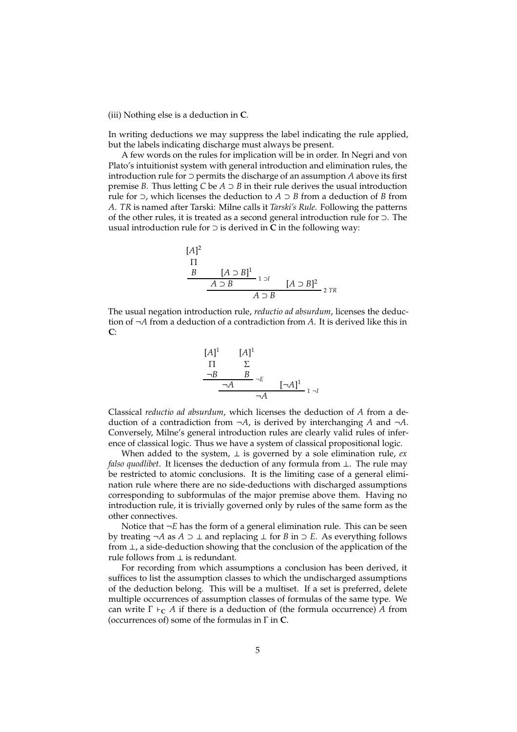#### (iii) Nothing else is a deduction in **C**.

In writing deductions we may suppress the label indicating the rule applied, but the labels indicating discharge must always be present.

A few words on the rules for implication will be in order. In Negri and von Plato's intuitionist system with general introduction and elimination rules, the introduction rule for ⊃ permits the discharge of an assumption *A* above its first premise *B*. Thus letting *C* be  $A \supset B$  in their rule derives the usual introduction rule for ⊃, which licenses the deduction to *A* ⊃ *B* from a deduction of *B* from *A*. *TR* is named after Tarski: Milne calls it *Tarski's Rule*. Following the patterns of the other rules, it is treated as a second general introduction rule for ⊃. The usual introduction rule for ⊃ is derived in **C** in the following way:

[*A*] 2 Π *B* [*A* ⊃ *B*] 1 1 ⊃*I A* ⊃ *B* [*A* ⊃ *B*] 2 <sup>2</sup> *TR <sup>A</sup>* <sup>⊃</sup> *<sup>B</sup>*

The usual negation introduction rule, *reductio ad absurdum*, licenses the deduction of ¬*A* from a deduction of a contradiction from *A*. It is derived like this in **C**:



Classical *reductio ad absurdum*, which licenses the deduction of *A* from a deduction of a contradiction from  $\neg A$ , is derived by interchanging *A* and  $\neg A$ . Conversely, Milne's general introduction rules are clearly valid rules of inference of classical logic. Thus we have a system of classical propositional logic.

When added to the system,  $\perp$  is governed by a sole elimination rule, *ex falso quodlibet*. It licenses the deduction of any formula from ⊥. The rule may be restricted to atomic conclusions. It is the limiting case of a general elimination rule where there are no side-deductions with discharged assumptions corresponding to subformulas of the major premise above them. Having no introduction rule, it is trivially governed only by rules of the same form as the other connectives.

Notice that ¬*E* has the form of a general elimination rule. This can be seen by treating ¬*A* as *A* ⊃ ⊥ and replacing ⊥ for *B* in ⊃ *E*. As everything follows from ⊥, a side-deduction showing that the conclusion of the application of the rule follows from  $\perp$  is redundant.

For recording from which assumptions a conclusion has been derived, it suffices to list the assumption classes to which the undischarged assumptions of the deduction belong. This will be a multiset. If a set is preferred, delete multiple occurrences of assumption classes of formulas of the same type. We can write  $\Gamma \vdash_{\mathbf{C}} A$  if there is a deduction of (the formula occurrence) A from (occurrences of) some of the formulas in Γ in **C**.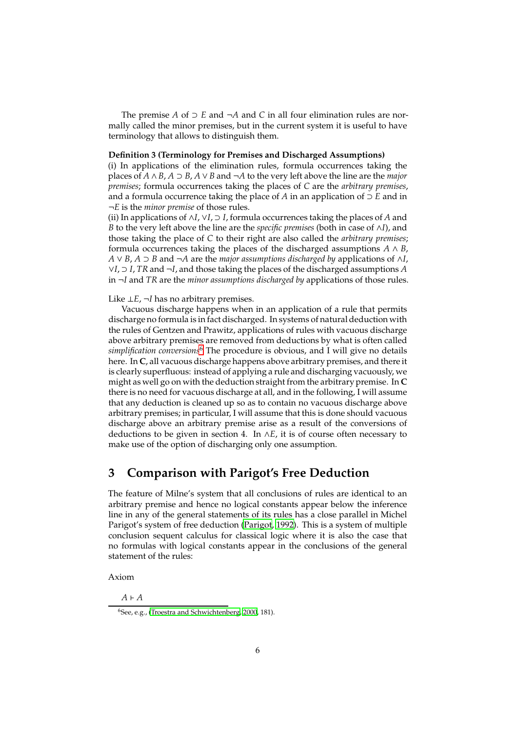The premise *A* of ⊃ *E* and ¬*A* and *C* in all four elimination rules are normally called the minor premises, but in the current system it is useful to have terminology that allows to distinguish them.

#### **Definition 3 (Terminology for Premises and Discharged Assumptions)**

(i) In applications of the elimination rules, formula occurrences taking the places of *A* ∧*B*, *A* ⊃ *B*, *A* ∨*B* and ¬*A* to the very left above the line are the *major premises*; formula occurrences taking the places of *C* are the *arbitrary premises*, and a formula occurrence taking the place of *A* in an application of ⊃ *E* and in ¬*E* is the *minor premise* of those rules.

(ii) In applications of ∧*I*, ∨*I*, ⊃ *I*, formula occurrences taking the places of *A* and *B* to the very left above the line are the *specific premises* (both in case of ∧*I*), and those taking the place of *C* to their right are also called the *arbitrary premises*; formula occurrences taking the places of the discharged assumptions  $A \wedge B$ , *A* ∨ *B*, *A* ⊃ *B* and ¬*A* are the *major assumptions discharged by* applications of ∧*I*, ∨*I*, ⊃ *I*, *TR* and ¬*I*, and those taking the places of the discharged assumptions *A* in ¬*I* and *TR* are the *minor assumptions discharged by* applications of those rules.

### Like ⊥*E*, ¬*I* has no arbitrary premises.

Vacuous discharge happens when in an application of a rule that permits discharge no formula is in fact discharged. In systems of natural deduction with the rules of Gentzen and Prawitz, applications of rules with vacuous discharge above arbitrary premises are removed from deductions by what is often called *simplification conversions*[6](#page-5-0) The procedure is obvious, and I will give no details here. In **C**, all vacuous discharge happens above arbitrary premises, and there it is clearly superfluous: instead of applying a rule and discharging vacuously, we might as well go on with the deduction straight from the arbitrary premise. In **C** there is no need for vacuous discharge at all, and in the following, I will assume that any deduction is cleaned up so as to contain no vacuous discharge above arbitrary premises; in particular, I will assume that this is done should vacuous discharge above an arbitrary premise arise as a result of the conversions of deductions to be given in section 4. In ∧*E*, it is of course often necessary to make use of the option of discharging only one assumption.

## **3 Comparison with Parigot's Free Deduction**

The feature of Milne's system that all conclusions of rules are identical to an arbitrary premise and hence no logical constants appear below the inference line in any of the general statements of its rules has a close parallel in Michel Parigot's system of free deduction [\(Parigot, 1992\)](#page-23-5). This is a system of multiple conclusion sequent calculus for classical logic where it is also the case that no formulas with logical constants appear in the conclusions of the general statement of the rules:

Axiom

*A* ⊢ *A*

<span id="page-5-0"></span><sup>6</sup>See, e.g., [\(Troestra and Schwichtenberg](#page-23-14), [2000,](#page-23-14) 181).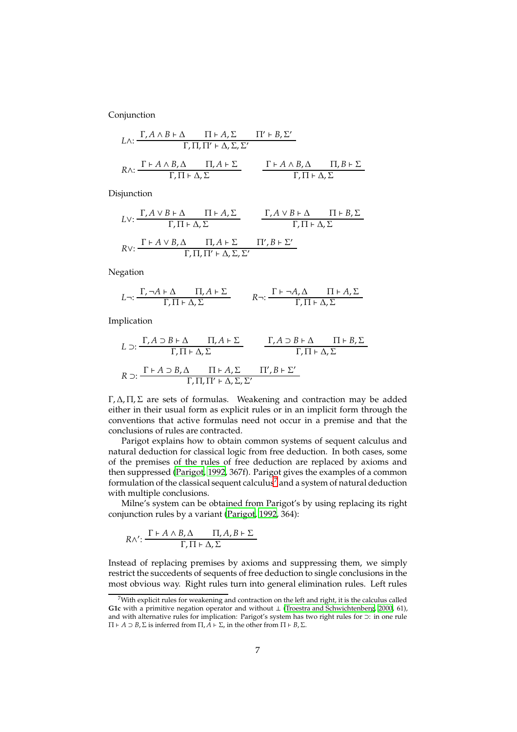Conjunction

$$
L \wedge: \frac{\Gamma, A \wedge B \vdash \Delta \qquad \Pi \vdash A, \Sigma \qquad \Pi' \vdash B, \Sigma'}{\Gamma, \Pi, \Pi' \vdash \Delta, \Sigma, \Sigma'}
$$
\n
$$
R \wedge: \frac{\Gamma \vdash A \wedge B, \Delta \qquad \Pi, A \vdash \Sigma}{\Gamma, \Pi \vdash \Delta, \Sigma} \qquad \frac{\Gamma \vdash A \wedge B, \Delta \qquad \Pi, B \vdash \Sigma}{\Gamma, \Pi \vdash \Delta, \Sigma}
$$

Disjunction

$$
LV: \frac{\Gamma, A \vee B \vdash \Delta \qquad \Pi \vdash A, \Sigma}{\Gamma, \Pi \vdash \Delta, \Sigma} \qquad \frac{\Gamma, A \vee B \vdash \Delta \qquad \Pi \vdash B, \Sigma}{\Gamma, \Pi \vdash \Delta, \Sigma}
$$
  

$$
RV: \frac{\Gamma \vdash A \vee B, \Delta \qquad \Pi, A \vdash \Sigma \qquad \Pi', B \vdash \Sigma'}{\Gamma, \Pi, \Pi' \vdash \Delta, \Sigma, \Sigma'}
$$

Negation

$$
L \neg \colon \frac{\Gamma, \neg A \vdash \Delta \qquad \Pi, A \vdash \Sigma}{\Gamma, \Pi \vdash \Delta, \Sigma} \qquad \quad R \neg \colon \frac{\Gamma \vdash \neg A, \Delta \qquad \Pi \vdash A, \Sigma}{\Gamma, \Pi \vdash \Delta, \Sigma}
$$

Implication

$$
L \supset: \frac{\Gamma, A \supset B \vdash \Delta \qquad \Pi, A \vdash \Sigma}{\Gamma, \Pi \vdash \Delta, \Sigma} \qquad \frac{\Gamma, A \supset B \vdash \Delta \qquad \Pi \vdash B, \Sigma}{\Gamma, \Pi \vdash \Delta, \Sigma}
$$

$$
R \supset: \frac{\Gamma \vdash A \supset B, \Delta \qquad \Pi \vdash A, \Sigma \qquad \Pi', B \vdash \Sigma'}{\Gamma, \Pi, \Pi' \vdash \Delta, \Sigma, \Sigma'}
$$

Γ, Δ, Π, Σ are sets of formulas. Weakening and contraction may be added either in their usual form as explicit rules or in an implicit form through the conventions that active formulas need not occur in a premise and that the conclusions of rules are contracted.

Parigot explains how to obtain common systems of sequent calculus and natural deduction for classical logic from free deduction. In both cases, some of the premises of the rules of free deduction are replaced by axioms and then suppressed [\(Parigot](#page-23-5), [1992](#page-23-5), 367f). Parigot gives the examples of a common formulation of the classical sequent calculus<sup>[7](#page-6-0)</sup> and a system of natural deduction with multiple conclusions.

Milne's system can be obtained from Parigot's by using replacing its right conjunction rules by a variant [\(Parigot, 1992,](#page-23-5) 364):

$$
R \wedge': \frac{\Gamma \vdash A \wedge B, \Delta \qquad \Pi, A, B \vdash \Sigma}{\Gamma, \Pi \vdash \Delta, \Sigma}
$$

Instead of replacing premises by axioms and suppressing them, we simply restrict the succedents of sequents of free deduction to single conclusions in the most obvious way. Right rules turn into general elimination rules. Left rules

<span id="page-6-0"></span> $^7$ With explicit rules for weakening and contraction on the left and right, it is the calculus called **G1c** with a primitive negation operator and without ⊥ [\(Troestra and Schwichtenberg](#page-23-14), [2000,](#page-23-14) 61), and with alternative rules for implication: Parigot's system has two right rules for ⊃: in one rule Π ⊢ *A* ⊃ *B*,Σ is inferred from Π, *A* ⊢ Σ, in the other from Π ⊢ *B*,Σ.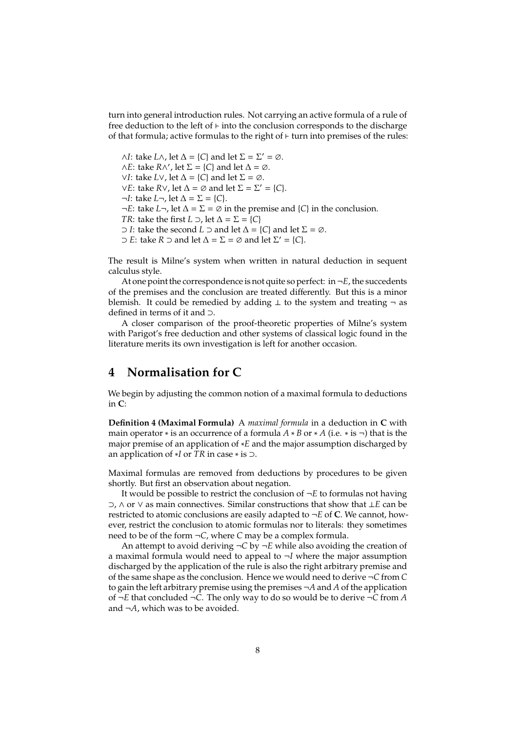turn into general introduction rules. Not carrying an active formula of a rule of free deduction to the left of ⊢ into the conclusion corresponds to the discharge of that formula; active formulas to the right of ⊢ turn into premises of the rules:

 $∧I$ : take *L*∧, let  $∆ = {C}$  and let  $Σ = Σ' = ∅$ .  $\wedge E$ : take *R* $\wedge'$ , let  $\Sigma = \{C\}$  and let  $\Delta = \emptyset$ . ∨*I*: take *L*∨, let ∆ = {*C*} and let Σ = ∅. ∨*E*: take *R*∨, let ∆ = ∅ and let Σ = Σ′ = {*C*}. ¬*I*: take *L*¬, let ∆ = Σ = {*C*}. ¬*E*: take *L*¬, let ∆ = Σ = ∅ in the premise and {*C*} in the conclusion. *TR*: take the first *L*  $\supset$ , let  $\Delta = \sum$  = {*C*} ⊃ *I*: take the second *L* ⊃ and let ∆ = {*C*} and let Σ = ∅.  $\supset$  *E*: take *R*  $\supset$  and let  $\Delta = \Sigma = \emptyset$  and let  $\Sigma' = \{C\}.$ 

The result is Milne's system when written in natural deduction in sequent calculus style.

At one point the correspondence is not quite so perfect: in  $\neg E$ , the succedents of the premises and the conclusion are treated differently. But this is a minor blemish. It could be remedied by adding  $\perp$  to the system and treating  $\neg$  as defined in terms of it and ⊃.

A closer comparison of the proof-theoretic properties of Milne's system with Parigot's free deduction and other systems of classical logic found in the literature merits its own investigation is left for another occasion.

## **4 Normalisation for C**

We begin by adjusting the common notion of a maximal formula to deductions in **C**:

**Definition 4 (Maximal Formula)** A *maximal formula* in a deduction in **C** with main operator  $*$  is an occurrence of a formula  $A * B$  or  $* A$  (i.e.  $*$  is  $\neg$ ) that is the major premise of an application of ∗*E* and the major assumption discharged by an application of ∗*I* or *TR* in case ∗ is ⊃.

Maximal formulas are removed from deductions by procedures to be given shortly. But first an observation about negation.

It would be possible to restrict the conclusion of ¬*E* to formulas not having ⊃, ∧ or ∨ as main connectives. Similar constructions that show that ⊥*E* can be restricted to atomic conclusions are easily adapted to  $\neg E$  of **C**. We cannot, however, restrict the conclusion to atomic formulas nor to literals: they sometimes need to be of the form ¬*C*, where *C* may be a complex formula.

An attempt to avoid deriving  $\neg C$  by  $\neg E$  while also avoiding the creation of a maximal formula would need to appeal to ¬*I* where the major assumption discharged by the application of the rule is also the right arbitrary premise and of the same shape as the conclusion. Hence we would need to derive ¬*C* from *C* to gain the left arbitrary premise using the premises ¬*A* and *A* of the application of ¬*E* that concluded ¬*C*. The only way to do so would be to derive ¬*C* from *A* and ¬*A*, which was to be avoided.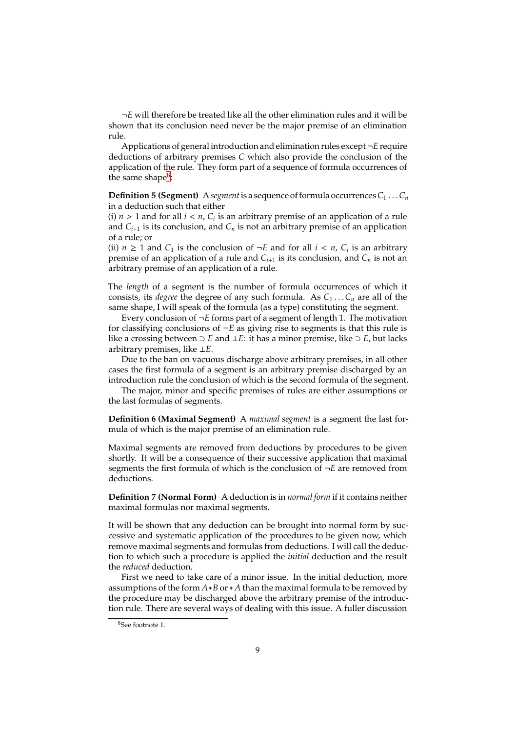¬*E* will therefore be treated like all the other elimination rules and it will be shown that its conclusion need never be the major premise of an elimination rule.

Applications of general introduction and elimination rules except¬*E* require deductions of arbitrary premises *C* which also provide the conclusion of the application of the rule. They form part of a sequence of formula occurrences of the same shape<sup>[8](#page-8-0)</sup>:

**Definition 5 (Segment)** A segment is a sequence of formula occurrences  $C_1 \ldots C_n$ in a deduction such that either

(i)  $n > 1$  and for all  $i < n$ ,  $C_i$  is an arbitrary premise of an application of a rule and  $C_{i+1}$  is its conclusion, and  $C_n$  is not an arbitrary premise of an application of a rule; or

(ii)  $n \geq 1$  and  $C_1$  is the conclusion of  $\neg E$  and for all  $i < n$ ,  $C_i$  is an arbitrary premise of an application of a rule and  $C_{i+1}$  is its conclusion, and  $C_n$  is not an arbitrary premise of an application of a rule.

The *length* of a segment is the number of formula occurrences of which it consists, its *degree* the degree of any such formula. As  $C_1 \ldots C_n$  are all of the same shape, I will speak of the formula (as a type) constituting the segment.

Every conclusion of ¬*E* forms part of a segment of length 1. The motivation for classifying conclusions of  $\neg E$  as giving rise to segments is that this rule is like a crossing between ⊃ *E* and ⊥*E*: it has a minor premise, like ⊃ *E*, but lacks arbitrary premises, like ⊥*E*.

Due to the ban on vacuous discharge above arbitrary premises, in all other cases the first formula of a segment is an arbitrary premise discharged by an introduction rule the conclusion of which is the second formula of the segment.

The major, minor and specific premises of rules are either assumptions or the last formulas of segments.

**Definition 6 (Maximal Segment)** A *maximal segment* is a segment the last formula of which is the major premise of an elimination rule.

Maximal segments are removed from deductions by procedures to be given shortly. It will be a consequence of their successive application that maximal segments the first formula of which is the conclusion of ¬*E* are removed from deductions.

**Definition 7 (Normal Form)** A deduction is in *normal form* if it contains neither maximal formulas nor maximal segments.

It will be shown that any deduction can be brought into normal form by successive and systematic application of the procedures to be given now, which remove maximal segments and formulas from deductions. I will call the deduction to which such a procedure is applied the *initial* deduction and the result the *reduced* deduction.

First we need to take care of a minor issue. In the initial deduction, more assumptions of the form *A*∗*B* or∗ *A* than the maximal formula to be removed by the procedure may be discharged above the arbitrary premise of the introduction rule. There are several ways of dealing with this issue. A fuller discussion

<span id="page-8-0"></span><sup>8</sup>See footnote 1.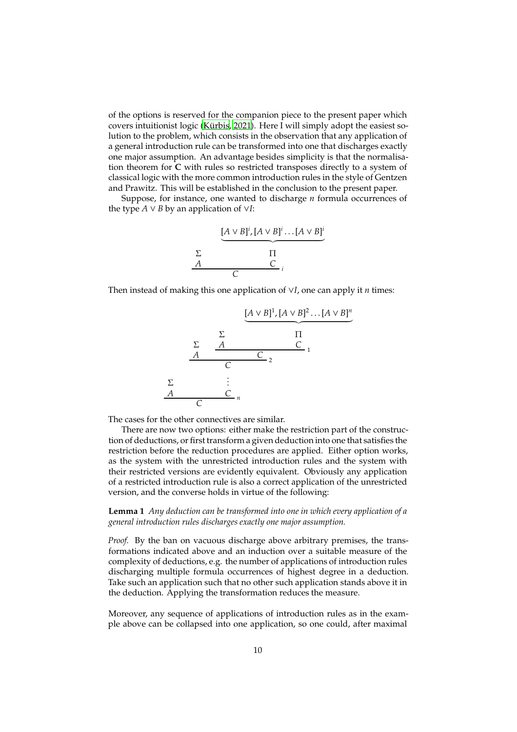of the options is reserved for the companion piece to the present paper which covers intuitionist logic (Kürbis, 2021). Here I will simply adopt the easiest solution to the problem, which consists in the observation that any application of a general introduction rule can be transformed into one that discharges exactly one major assumption. An advantage besides simplicity is that the normalisation theorem for **C** with rules so restricted transposes directly to a system of classical logic with the more common introduction rules in the style of Gentzen and Prawitz. This will be established in the conclusion to the present paper.

Suppose, for instance, one wanted to discharge *n* formula occurrences of the type  $A \vee B$  by an application of  $\vee I$ :



Then instead of making this one application of ∨*I*, one can apply it *n* times:



The cases for the other connectives are similar.

There are now two options: either make the restriction part of the construction of deductions, or first transform a given deduction into one that satisfies the restriction before the reduction procedures are applied. Either option works, as the system with the unrestricted introduction rules and the system with their restricted versions are evidently equivalent. Obviously any application of a restricted introduction rule is also a correct application of the unrestricted version, and the converse holds in virtue of the following:

**Lemma 1** *Any deduction can be transformed into one in which every application of a general introduction rules discharges exactly one major assumption.*

*Proof.* By the ban on vacuous discharge above arbitrary premises, the transformations indicated above and an induction over a suitable measure of the complexity of deductions, e.g. the number of applications of introduction rules discharging multiple formula occurrences of highest degree in a deduction. Take such an application such that no other such application stands above it in the deduction. Applying the transformation reduces the measure.

Moreover, any sequence of applications of introduction rules as in the example above can be collapsed into one application, so one could, after maximal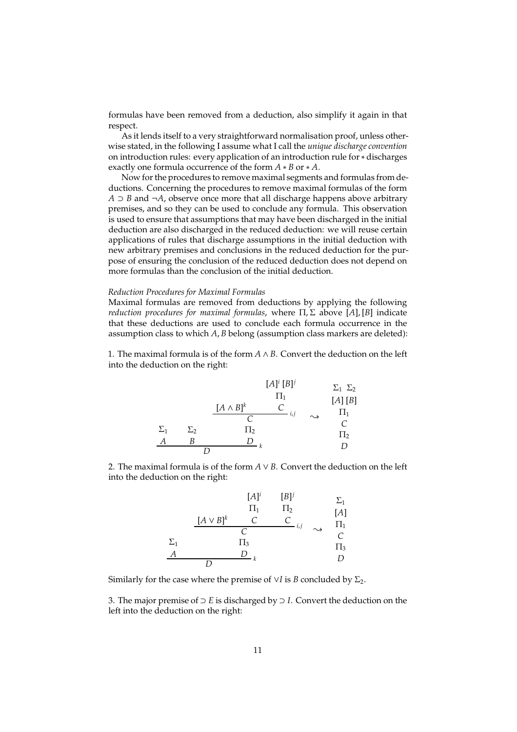formulas have been removed from a deduction, also simplify it again in that respect.

As it lends itself to a very straightforward normalisation proof, unless otherwise stated, in the following I assume what I call the *unique discharge convention* on introduction rules: every application of an introduction rule for ∗ discharges exactly one formula occurrence of the form *A* ∗ *B* or ∗ *A*.

Now for the procedures to remove maximal segments and formulas from deductions. Concerning the procedures to remove maximal formulas of the form *A* ⊃ *B* and ¬*A*, observe once more that all discharge happens above arbitrary premises, and so they can be used to conclude any formula. This observation is used to ensure that assumptions that may have been discharged in the initial deduction are also discharged in the reduced deduction: we will reuse certain applications of rules that discharge assumptions in the initial deduction with new arbitrary premises and conclusions in the reduced deduction for the purpose of ensuring the conclusion of the reduced deduction does not depend on more formulas than the conclusion of the initial deduction.

### *Reduction Procedures for Maximal Formulas*

Maximal formulas are removed from deductions by applying the following *reduction procedures for maximal formulas*, where Π, Σ above [*A*], [*B*] indicate that these deductions are used to conclude each formula occurrence in the assumption class to which *A*, *B* belong (assumption class markers are deleted):

1. The maximal formula is of the form *A* ∧ *B*. Convert the deduction on the left into the deduction on the right:

$$
[A]^i [B]^j \longrightarrow \Sigma_1 \Sigma_2
$$
  
\n
$$
\begin{array}{ccc}\n & \Pi_1 & & [A] [B] \\
\hline\nC & i,j & \rightarrow & \Pi_1 \\
\Sigma_1 & \Sigma_2 & \Pi_2 & & \cup \\
A & B & D & k & D\n\end{array}
$$

2. The maximal formula is of the form  $A \vee B$ . Convert the deduction on the left into the deduction on the right:

$$
[A]^i \t [B]^j \t \Sigma_1
$$
  
\n
$$
[A \vee B]^k \t C \t C
$$
  
\n
$$
\Sigma_1 \t [A]
$$
  
\n
$$
\Sigma_1 \t \Sigma_1 \t \Sigma_2 \t \Sigma_3 \t \Sigma_4
$$
  
\n
$$
\Sigma_1 \t \Sigma_1 \t \Sigma_2 \t \Sigma_3 \t \Sigma_4
$$
  
\n
$$
\Sigma_1 \t \Sigma_1 \t \Sigma_1 \t \Sigma_2 \t \Sigma_3 \t \Sigma_1 \t \Sigma_1 \t \Sigma_1 \t \Sigma_2 \t \Sigma_1 \t \Sigma_1 \t \Sigma_2 \t \Sigma_1 \t \Sigma_1 \t \Sigma_1 \t \Sigma_2 \t \Sigma_1 \t \Sigma_1 \t \Sigma_2 \t \Sigma_1 \t \Sigma_1 \t \Sigma_1 \t \Sigma_1 \t \Sigma_1 \t \Sigma_1 \t \Sigma_1 \t \Sigma_1 \t \Sigma_1 \t \Sigma_1 \t \Sigma_1 \t \Sigma_1 \t \Sigma_1 \t \Sigma_1 \t \Sigma_1 \t \Sigma_1 \t \Sigma_1 \t \Sigma_1 \t \Sigma_1 \t \Sigma_1 \t \Sigma_1 \t \Sigma_1 \t \Sigma_1 \t \Sigma_1 \t \Sigma_1 \t \Sigma_1 \t \Sigma_1 \t \Sigma_1 \t \Sigma_1 \t \Sigma_1 \t \Sigma_1 \t \Sigma_1 \t \Sigma_1 \t \Sigma_1 \t \Sigma_1 \t \Sigma_1 \t \Sigma_1 \t \Sigma_1 \t \Sigma_1 \t \Sigma_1 \t \Sigma_1 \t \Sigma_1 \t \Sigma_1 \t \Sigma_1 \t \Sigma_1 \t \Sigma_1 \t \Sigma_1 \t \Sigma_1 \t \Sigma_1 \t \Sigma_1 \t \Sigma_1 \t \Sigma_1 \t \Sigma_1 \t \Sigma_1 \t \Sigma_1 \t \Sigma_1 \t \Sigma_1 \t \Sigma_1 \t \Sigma_1 \t \Sigma_1 \t \Sigma_1 \t \Sigma_1 \t \Sigma_1 \t \Sigma_1 \t \Sigma_1 \t \Sigma_1 \t \Sigma_1 \t \Sigma_1 \t \Sigma_1 \t \Sigma_1 \t \Sigma_1 \t \Sigma_1 \t \Sigma_1 \t \Sigma_1 \t \Sigma_1 \t \Sigma_1 \t \Sigma_1 \t \Sigma_1 \t \Sigma_1 \t \Sigma_1 \t \Sigma_1 \t \Sigma_1 \t \Sigma_
$$

Similarly for the case where the premise of  $\vee I$  is *B* concluded by  $\Sigma_2$ .

3. The major premise of ⊃ *E* is discharged by ⊃ *I*. Convert the deduction on the left into the deduction on the right: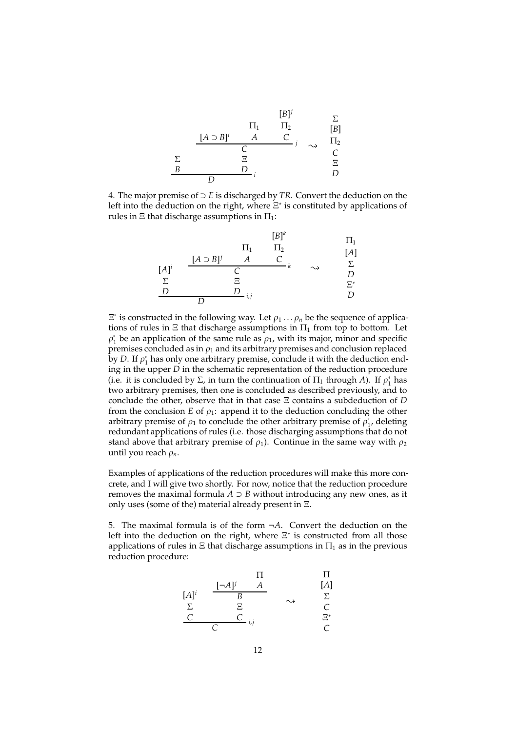

4. The major premise of ⊃ *E* is discharged by *TR*. Convert the deduction on the left into the deduction on the right, where  $\Xi^*$  is constituted by applications of rules in  $\Xi$  that discharge assumptions in  $\Pi_1$ :

| $[B]^k$         | $\Pi_1$                                   |                 |                 |                   |
|-----------------|-------------------------------------------|-----------------|-----------------|-------------------|
| $[A]^i$         | $[\underline{A} \supset \underline{B}]^j$ | $\underline{A}$ | $\underline{C}$ | $[\underline{A}]$ |
| $[A]^i$         | $[\underline{C} \supset \underline{C}]^k$ | $\sim$          | $\Sigma$        |                   |
| $\Sigma$        | $\Xi$                                     | $\Xi^*$         |                 |                   |
| $\underline{D}$ | $\underline{D}$                           | $i,j$           | $\underline{D}$ |                   |

 $\Xi^*$  is constructed in the following way. Let  $\rho_1 \dots \rho_n$  be the sequence of applications of rules in  $\Xi$  that discharge assumptions in  $\Pi_1$  from top to bottom. Let  $\rho_1^*$  be an application of the same rule as  $\rho_1$ , with its major, minor and specific premises concluded as in  $\rho_1$  and its arbitrary premises and conclusion replaced by *D*. If  $\rho_1^*$  has only one arbitrary premise, conclude it with the deduction ending in the upper *D* in the schematic representation of the reduction procedure (i.e. it is concluded by  $\Sigma$ , in turn the continuation of  $\Pi_1$  through *A*). If  $\rho_1^*$  has two arbitrary premises, then one is concluded as described previously, and to conclude the other, observe that in that case Ξ contains a subdeduction of *D* from the conclusion *E* of  $\rho_1$ : append it to the deduction concluding the other arbitrary premise of  $\rho_1$  to conclude the other arbitrary premise of  $\rho_1^*$ , deleting redundant applications of rules (i.e. those discharging assumptions that do not stand above that arbitrary premise of  $\rho_1$ ). Continue in the same way with  $\rho_2$ until you reach ρ*n*.

Examples of applications of the reduction procedures will make this more concrete, and I will give two shortly. For now, notice that the reduction procedure removes the maximal formula  $A \supset B$  without introducing any new ones, as it only uses (some of the) material already present in Ξ.

5. The maximal formula is of the form ¬*A*. Convert the deduction on the left into the deduction on the right, where  $\Xi^*$  is constructed from all those applications of rules in  $\Xi$  that discharge assumptions in  $\Pi_1$  as in the previous reduction procedure:

| $[A]^i$         | $\frac{[-A]^j$  | $A$    | $[A]$    |
|-----------------|-----------------|--------|----------|
| $\Sigma$        | $\Xi$           | $\sim$ | $\Sigma$ |
| $\underline{C}$ | $\underline{C}$ | $i,j$  | $\Xi^*$  |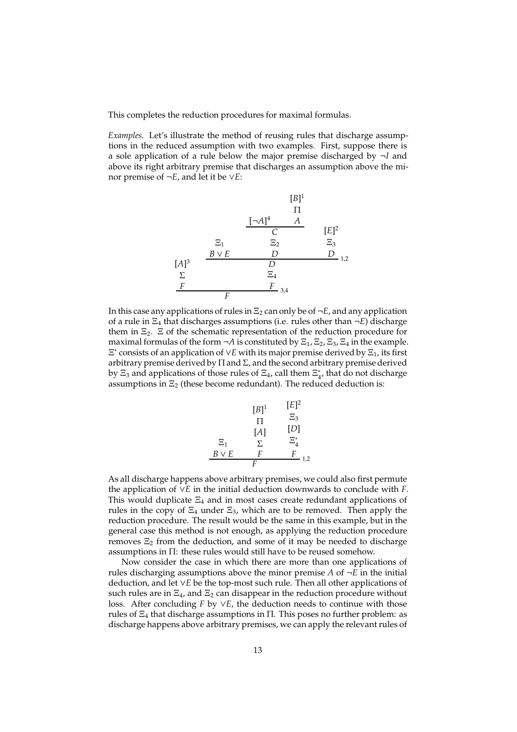This completes the reduction procedures for maximal formulas.

*Examples.* Let's illustrate the method of reusing rules that discharge assumptions in the reduced assumption with two examples. First, suppose there is a sole application of a rule below the major premise discharged by ¬*I* and above its right arbitrary premise that discharges an assumption above the minor premise of ¬*E*, and let it be ∨*E*:



In this case any applications of rules in  $\Xi_2$  can only be of  $\neg E$ , and any application of a rule in Ξ<sup>4</sup> that discharges assumptions (i.e. rules other than ¬*E*) discharge them in  $\Xi_2$ .  $\Xi$  of the schematic representation of the reduction procedure for maximal formulas of the form  $\neg A$  is constituted by  $\Xi_1$ ,  $\Xi_2$ ,  $\Xi_3$ ,  $\Xi_4$  in the example. Ξ ∗ consists of an application of ∨*E* with its major premise derived by Ξ1, its first arbitrary premise derived by  $\Pi$  and  $\Sigma$ , and the second arbitrary premise derived by  $\Xi_3$  and applications of those rules of  $\Xi_4$ , call them  $\Xi_4^*$ , that do not discharge assumptions in  $\Xi_2$  (these become redundant). The reduced deduction is:

| $[B]$ <sup>1</sup><br>П<br>$[A]$<br>Σ | $[E]^2$<br>$\Xi_3$<br>$[D]$<br>$\Xi^{*}_{\scriptscriptstyle{A}}$ |
|---------------------------------------|------------------------------------------------------------------|
| F                                     | F<br>1,2                                                         |
|                                       | F                                                                |

As all discharge happens above arbitrary premises, we could also first permute the application of ∨*E* in the initial deduction downwards to conclude with *F*. This would duplicate  $\Xi_4$  and in most cases create redundant applications of rules in the copy of  $\Xi_4$  under  $\Xi_3$ , which are to be removed. Then apply the reduction procedure. The result would be the same in this example, but in the general case this method is not enough, as applying the reduction procedure removes  $\Xi_2$  from the deduction, and some of it may be needed to discharge assumptions in Π: these rules would still have to be reused somehow.

Now consider the case in which there are more than one applications of rules discharging assumptions above the minor premise  $A$  of  $\neg E$  in the initial deduction, and let ∨*E* be the top-most such rule. Then all other applications of such rules are in  $\Xi_4$ , and  $\Xi_2$  can disappear in the reduction procedure without loss. After concluding *F* by ∨*E*, the deduction needs to continue with those rules of  $\Xi_4$  that discharge assumptions in  $\Pi$ . This poses no further problem: as discharge happens above arbitrary premises, we can apply the relevant rules of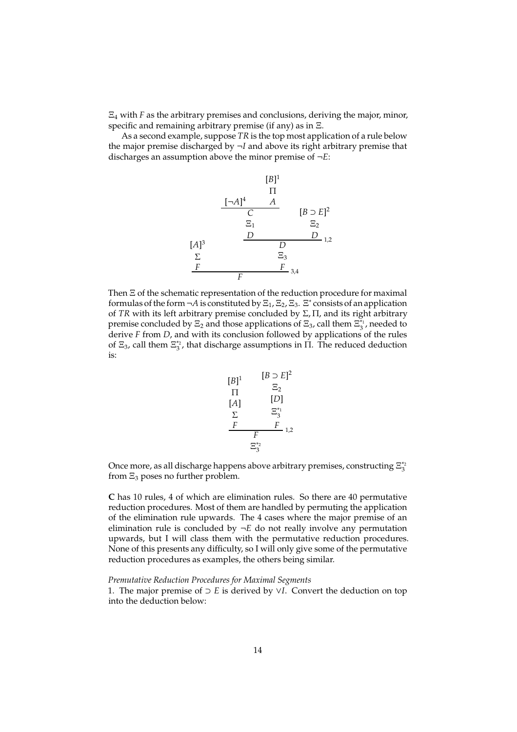Ξ<sup>4</sup> with *F* as the arbitrary premises and conclusions, deriving the major, minor, specific and remaining arbitrary premise (if any) as in Ξ.

As a second example, suppose *TR* is the top most application of a rule below the major premise discharged by ¬*I* and above its right arbitrary premise that discharges an assumption above the minor premise of ¬*E*:



Then Ξ of the schematic representation of the reduction procedure for maximal formulas of the form  $\neg A$  is constituted by  $\Xi_1$ ,  $\Xi_2$ ,  $\Xi_3$ .  $\Xi^*$  consists of an application of *TR* with its left arbitrary premise concluded by Σ, Π, and its right arbitrary premise concluded by  $\Xi_2$  and those applications of  $\Xi_3$ , call them  $\Xi_3^{*1}$ , needed to derive *F* from *D*, and with its conclusion followed by applications of the rules of  $\Xi_3$ , call them  $\Xi_3^*$ , that discharge assumptions in  $\Pi$ . The reduced deduction is:

$$
[B]^{1} \t [B \supset E]^{2}
$$
  
\n
$$
\Pi \t [D]
$$
  
\n
$$
\Sigma \t \Sigma_{3}^{*_{1}}
$$
  
\n
$$
\Sigma \t \Sigma_{3}^{*_{2}}
$$
  
\n
$$
\Sigma_{3}^{*_{3}}
$$

Once more, as all discharge happens above arbitrary premises, constructing  $\Xi_3^{\ast_2}$ from  $\Xi_3$  poses no further problem.

**C** has 10 rules, 4 of which are elimination rules. So there are 40 permutative reduction procedures. Most of them are handled by permuting the application of the elimination rule upwards. The 4 cases where the major premise of an elimination rule is concluded by  $\neg E$  do not really involve any permutation upwards, but I will class them with the permutative reduction procedures. None of this presents any difficulty, so I will only give some of the permutative reduction procedures as examples, the others being similar.

#### *Premutative Reduction Procedures for Maximal Segments*

1. The major premise of ⊃ *E* is derived by ∨*I*. Convert the deduction on top into the deduction below: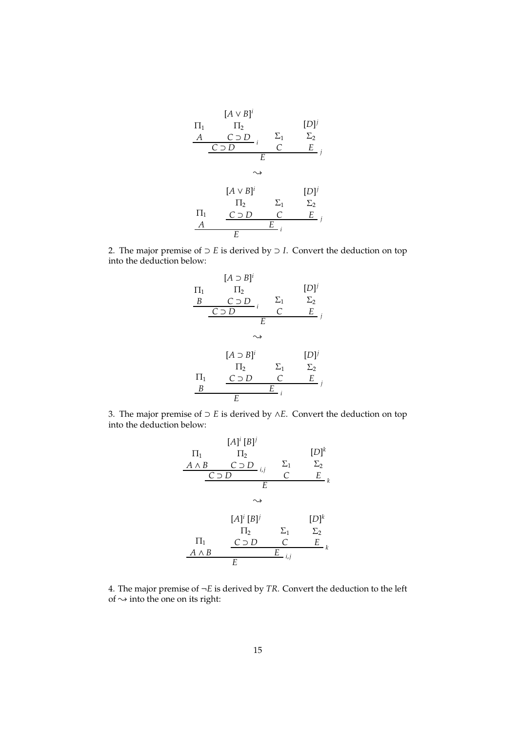

2. The major premise of  $\supset E$  is derived by  $\supset I$ . Convert the deduction on top into the deduction below:



3. The major premise of ⊃ *E* is derived by ∧*E*. Convert the deduction on top into the deduction below:

$$
[A]^i [B]^j
$$
\n
$$
\Pi_1 \qquad \Pi_2 \qquad [D]^k
$$
\n
$$
\underline{A \wedge B \qquad C \supset D} \iota_j \qquad \Sigma_1 \qquad \Sigma_2
$$
\n
$$
\underline{C \supset D} \qquad \vdots \qquad \vdots \qquad \Sigma_1 \qquad \Sigma_2
$$
\n
$$
\uparrow A]^i [B]^j \qquad [D]^k
$$
\n
$$
\Pi_2 \qquad \Sigma_1 \qquad \Sigma_2
$$
\n
$$
\Pi_1 \qquad \underline{C \supset D \qquad C \qquad E} \iota_j
$$
\n
$$
\underline{A \wedge B} \qquad \underline{E} \iota_j
$$

4. The major premise of  $\neg E$  is derived by *TR*. Convert the deduction to the left of  $\rightsquigarrow$  into the one on its right: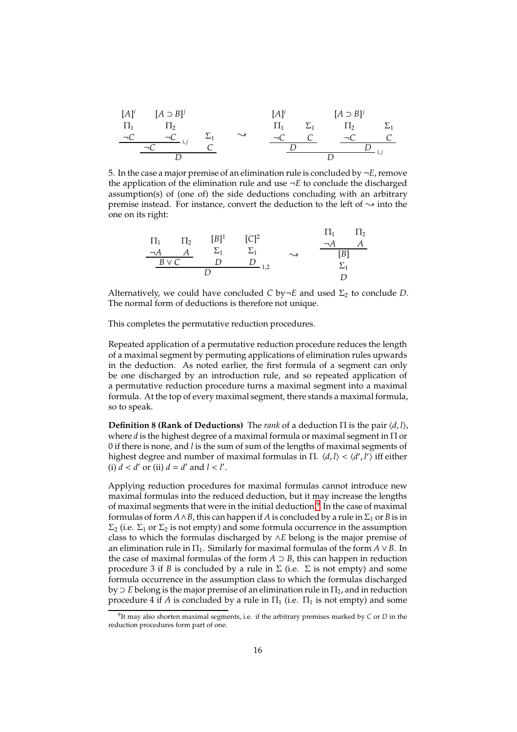| $[A]^i$  | $[A \supset B]^j$ | $[A]^i$      | $[A \supset B]^j$ |          |            |          |
|----------|-------------------|--------------|-------------------|----------|------------|----------|
| $\Pi_1$  | $\Pi_2$           | $\Pi_1$      | $\Sigma_1$        | $\Pi_2$  | $\Sigma_1$ |          |
| $\neg C$ | $\neg C$          | $\therefore$ | $\neg C$          | $\neg C$ | $\neg C$   | $\neg C$ |
| $\neg C$ | $\neg C$          | $\neg C$     | $\neg C$          | $\neg C$ |            |          |
| $\neg D$ | $\neg D$          | $\vdots$     |                   |          |            |          |

5. In the case a major premise of an elimination rule is concluded by  $\neg E$ , remove the application of the elimination rule and use  $\neg E$  to conclude the discharged assumption(s) of (one of) the side deductions concluding with an arbitrary premise instead. For instance, convert the deduction to the left of  $\sim$  into the one on its right:

$$
\begin{array}{ccccccccc}\n\Pi_1 & \Pi_2 & [B]^1 & [C]^2 & & & \Pi_1 & \Pi_2 \\
\hline\n-A & A & \Sigma_1 & \Sigma_1 & & \rightarrow & & [B] \\
\hline\nB \lor C & D & D & \Sigma_{1,2} & & \Sigma_1 & & \Sigma_1 & & \Sigma_2 & & \Sigma_2 & & \Sigma_2 & & \Sigma_2 & & \Sigma_2 & & \Sigma_2 & & \Sigma_2 & & \Sigma_2 & & \Sigma_2 & & \Sigma_2 & & \Sigma_2 & & \Sigma_2 & & \Sigma_2 & & \Sigma_2 & & \Sigma_2 & & \Sigma_2 & & \Sigma_2 & & \Sigma_2 & & \Sigma_2 & & \Sigma_2 & & \Sigma_2 & & \Sigma_2 & & \Sigma_2 & & \Sigma_2 & & \Sigma_2 & & \Sigma_2 & & \Sigma_2 & & \Sigma_2 & & \Sigma_2 & & \Sigma_2 & & \Sigma_2 & & \Sigma_2 & & \Sigma_2 & & \Sigma_2 & & \Sigma_2 & & \Sigma_2 & & \Sigma_2 & & \Sigma_2 & & \Sigma_2 & & \Sigma_2 & & \Sigma_2 & & \Sigma_2 & & \Sigma_2 & & \Sigma_2 & & \Sigma_2 & & \Sigma_2 & & \Sigma_2 & & \Sigma_2 & & \Sigma_2 & & \Sigma_2 & & \Sigma_2 & & \Sigma_2 & & \Sigma_2 & & \Sigma_2 & & \Sigma_2 & & \Sigma_2 & & \Sigma_2 & & \Sigma_2 & & \Sigma_2 & & \Sigma_2 & & \Sigma_2 & & \Sigma_2 & & \Sigma_2 & & \Sigma_2 & & \Sigma_2 & & \Sigma_2 & & \Sigma_2 & & \Sigma_2 & & \Sigma_2 & & \Sigma_2 & & \Sigma_2 & & \Sigma_2 & & \Sigma_2 & & \Sigma_2 & & \Sigma_2 & & \Sigma_2 & & \Sigma_2 & & \Sigma_2 & & \Sigma_2 & & \Sigma_2 & & \Sigma_2 & & \Sigma_2 & & \Sigma_2 & & \Sigma_2 & & \Sigma_2 & & \Sigma_2 & & \Sigma_2 & & \Sigma_2 & & \Sigma_2 & & \Sigma_2 & & \Sigma_2 & & \Sigma_2 & & \Sigma_2 & & \Sigma_2 & & \Sigma_2 & & \Sigma_2 & & \Sigma_2 & & \Sigma_2 & & \Sigma_2 & & \Sigma_2 & & \Sigma_2 & & \Sigma_2 & & \Sigma_2 & & \Sigma_2 & & \Sigma_2 & & \Sigma_2 & & \Sigma_2 & & \Sigma_2 & & \Sigma_2 & & \Sigma_
$$

Alternatively, we could have concluded *C* by $\neg E$  and used  $\Sigma_2$  to conclude *D*. The normal form of deductions is therefore not unique.

This completes the permutative reduction procedures.

Repeated application of a permutative reduction procedure reduces the length of a maximal segment by permuting applications of elimination rules upwards in the deduction. As noted earlier, the first formula of a segment can only be one discharged by an introduction rule, and so repeated application of a permutative reduction procedure turns a maximal segment into a maximal formula. At the top of every maximal segment, there stands a maximal formula, so to speak.

**Definition 8 (Rank of Deductions)** The *rank* of a deduction  $\Pi$  is the pair  $\langle d, l \rangle$ , where *d* is the highest degree of a maximal formula or maximal segment in Π or 0 if there is none, and *l* is the sum of sum of the lengths of maximal segments of highest degree and number of maximal formulas in Π.  $\langle d, l \rangle$  <  $\langle d', l' \rangle$  iff either (i)  $d < d'$  or (ii)  $d = d'$  and  $l < l'$ .

Applying reduction procedures for maximal formulas cannot introduce new maximal formulas into the reduced deduction, but it may increase the lengths of maximal segments that were in the initial deduction. $^9$  $^9$  In the case of maximal formulas of form  $A \wedge B$ , this can happen if *A* is concluded by a rule in  $\Sigma_1$  or *B* is in  $\Sigma_2$  (i.e.  $\Sigma_1$  or  $\Sigma_2$  is not empty) and some formula occurrence in the assumption class to which the formulas discharged by ∧*E* belong is the major premise of an elimination rule in  $\Pi_1$ . Similarly for maximal formulas of the form  $A \vee B$ . In the case of maximal formulas of the form  $A \supset B$ , this can happen in reduction procedure 3 if *B* is concluded by a rule in  $\Sigma$  (i.e.  $\Sigma$  is not empty) and some formula occurrence in the assumption class to which the formulas discharged  $by \supset E$  belong is the major premise of an elimination rule in  $\Pi_2$ , and in reduction procedure 4 if *A* is concluded by a rule in  $\Pi_1$  (i.e.  $\Pi_1$  is not empty) and some

<span id="page-15-0"></span><sup>9</sup> It may also shorten maximal segments, i.e. if the arbitrary premises marked by *C* or *D* in the reduction procedures form part of one.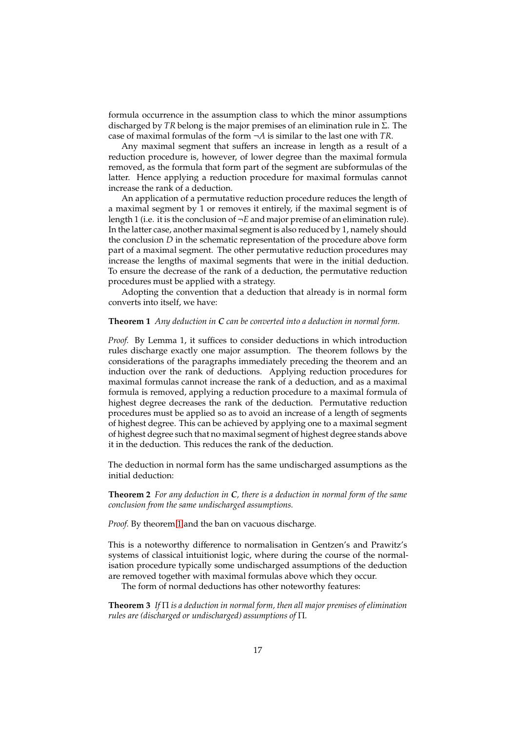formula occurrence in the assumption class to which the minor assumptions discharged by *TR* belong is the major premises of an elimination rule in Σ. The case of maximal formulas of the form ¬*A* is similar to the last one with *TR*.

Any maximal segment that suffers an increase in length as a result of a reduction procedure is, however, of lower degree than the maximal formula removed, as the formula that form part of the segment are subformulas of the latter. Hence applying a reduction procedure for maximal formulas cannot increase the rank of a deduction.

An application of a permutative reduction procedure reduces the length of a maximal segment by 1 or removes it entirely, if the maximal segment is of length 1 (i.e. it is the conclusion of ¬*E* and major premise of an elimination rule). In the latter case, another maximal segment is also reduced by 1, namely should the conclusion *D* in the schematic representation of the procedure above form part of a maximal segment. The other permutative reduction procedures may increase the lengths of maximal segments that were in the initial deduction. To ensure the decrease of the rank of a deduction, the permutative reduction procedures must be applied with a strategy.

<span id="page-16-0"></span>Adopting the convention that a deduction that already is in normal form converts into itself, we have:

### **Theorem 1** *Any deduction in C can be converted into a deduction in normal form.*

*Proof.* By Lemma 1, it suffices to consider deductions in which introduction rules discharge exactly one major assumption. The theorem follows by the considerations of the paragraphs immediately preceding the theorem and an induction over the rank of deductions. Applying reduction procedures for maximal formulas cannot increase the rank of a deduction, and as a maximal formula is removed, applying a reduction procedure to a maximal formula of highest degree decreases the rank of the deduction. Permutative reduction procedures must be applied so as to avoid an increase of a length of segments of highest degree. This can be achieved by applying one to a maximal segment of highest degree such that no maximal segment of highest degree stands above it in the deduction. This reduces the rank of the deduction.

<span id="page-16-2"></span>The deduction in normal form has the same undischarged assumptions as the initial deduction:

**Theorem 2** *For any deduction in C, there is a deduction in normal form of the same conclusion from the same undischarged assumptions.*

*Proof.* By theorem [1](#page-16-0) and the ban on vacuous discharge.

This is a noteworthy difference to normalisation in Gentzen's and Prawitz's systems of classical intuitionist logic, where during the course of the normalisation procedure typically some undischarged assumptions of the deduction are removed together with maximal formulas above which they occur.

<span id="page-16-1"></span>The form of normal deductions has other noteworthy features:

**Theorem 3** *If* Π *is a deduction in normal form, then all major premises of elimination rules are (discharged or undischarged) assumptions of* Π*.*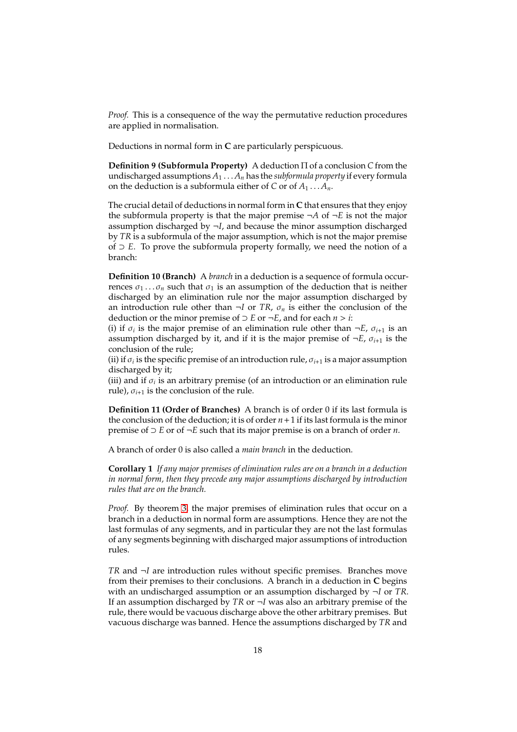*Proof.* This is a consequence of the way the permutative reduction procedures are applied in normalisation.

Deductions in normal form in **C** are particularly perspicuous.

**Definition 9 (Subformula Property)** A deduction Π of a conclusion *C* from the undischarged assumptions  $A_1 \ldots A_n$  has the *subformula property* if every formula on the deduction is a subformula either of *C* or of  $A_1 \t A_n$ .

The crucial detail of deductions in normal form in **C** that ensures that they enjoy the subformula property is that the major premise  $\neg A$  of  $\neg E$  is not the major assumption discharged by  $\neg I$ , and because the minor assumption discharged by *TR* is a subformula of the major assumption, which is not the major premise of ⊃ *E*. To prove the subformula property formally, we need the notion of a branch:

**Definition 10 (Branch)** A *branch* in a deduction is a sequence of formula occurrences  $\sigma_1 \dots \sigma_n$  such that  $\sigma_1$  is an assumption of the deduction that is neither discharged by an elimination rule nor the major assumption discharged by an introduction rule other than  $\neg I$  or *TR*,  $\sigma_n$  is either the conclusion of the deduction or the minor premise of  $\supset$  *E* or  $\neg$  *E*, and for each *n* > *i*:

(i) if  $\sigma_i$  is the major premise of an elimination rule other than  $\neg E$ ,  $\sigma_{i+1}$  is an assumption discharged by it, and if it is the major premise of  $\neg E$ ,  $\sigma_{i+1}$  is the conclusion of the rule;

(ii) if  $\sigma_i$  is the specific premise of an introduction rule,  $\sigma_{i+1}$  is a major assumption discharged by it;

(iii) and if  $\sigma_i$  is an arbitrary premise (of an introduction or an elimination rule rule),  $\sigma_{i+1}$  is the conclusion of the rule.

**Definition 11 (Order of Branches)** A branch is of order 0 if its last formula is the conclusion of the deduction; it is of order *n*+1 if its last formula is the minor premise of ⊃ *E* or of ¬*E* such that its major premise is on a branch of order *n*.

A branch of order 0 is also called a *main branch* in the deduction.

**Corollary 1** *If any major premises of elimination rules are on a branch in a deduction in normal form, then they precede any major assumptions discharged by introduction rules that are on the branch.*

*Proof.* By theorem [3,](#page-16-1) the major premises of elimination rules that occur on a branch in a deduction in normal form are assumptions. Hence they are not the last formulas of any segments, and in particular they are not the last formulas of any segments beginning with discharged major assumptions of introduction rules.

*TR* and ¬*I* are introduction rules without specific premises. Branches move from their premises to their conclusions. A branch in a deduction in **C** begins with an undischarged assumption or an assumption discharged by ¬*I* or *TR*. If an assumption discharged by *TR* or ¬*I* was also an arbitrary premise of the rule, there would be vacuous discharge above the other arbitrary premises. But vacuous discharge was banned. Hence the assumptions discharged by *TR* and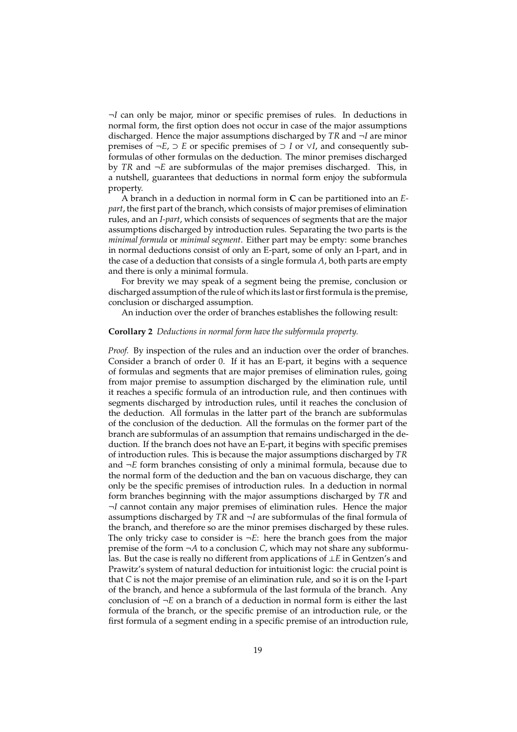¬*I* can only be major, minor or specific premises of rules. In deductions in normal form, the first option does not occur in case of the major assumptions discharged. Hence the major assumptions discharged by *TR* and ¬*I* are minor premises of ¬*E*, ⊃ *E* or specific premises of ⊃ *I* or ∨*I*, and consequently subformulas of other formulas on the deduction. The minor premises discharged by *TR* and ¬*E* are subformulas of the major premises discharged. This, in a nutshell, guarantees that deductions in normal form enjoy the subformula property.

A branch in a deduction in normal form in **C** can be partitioned into an *Epart*, the first part of the branch, which consists of major premises of elimination rules, and an *I-part*, which consists of sequences of segments that are the major assumptions discharged by introduction rules. Separating the two parts is the *minimal formula* or *minimal segment*. Either part may be empty: some branches in normal deductions consist of only an E-part, some of only an I-part, and in the case of a deduction that consists of a single formula *A*, both parts are empty and there is only a minimal formula.

For brevity we may speak of a segment being the premise, conclusion or discharged assumption of the rule of which its last or first formula is the premise, conclusion or discharged assumption.

<span id="page-18-0"></span>An induction over the order of branches establishes the following result:

### **Corollary 2** *Deductions in normal form have the subformula property.*

*Proof.* By inspection of the rules and an induction over the order of branches. Consider a branch of order 0. If it has an E-part, it begins with a sequence of formulas and segments that are major premises of elimination rules, going from major premise to assumption discharged by the elimination rule, until it reaches a specific formula of an introduction rule, and then continues with segments discharged by introduction rules, until it reaches the conclusion of the deduction. All formulas in the latter part of the branch are subformulas of the conclusion of the deduction. All the formulas on the former part of the branch are subformulas of an assumption that remains undischarged in the deduction. If the branch does not have an E-part, it begins with specific premises of introduction rules. This is because the major assumptions discharged by *TR* and ¬*E* form branches consisting of only a minimal formula, because due to the normal form of the deduction and the ban on vacuous discharge, they can only be the specific premises of introduction rules. In a deduction in normal form branches beginning with the major assumptions discharged by *TR* and ¬*I* cannot contain any major premises of elimination rules. Hence the major assumptions discharged by *TR* and ¬*I* are subformulas of the final formula of the branch, and therefore so are the minor premises discharged by these rules. The only tricky case to consider is  $\neg E$ : here the branch goes from the major premise of the form  $\neg A$  to a conclusion *C*, which may not share any subformulas. But the case is really no different from applications of ⊥*E* in Gentzen's and Prawitz's system of natural deduction for intuitionist logic: the crucial point is that *C* is not the major premise of an elimination rule, and so it is on the I-part of the branch, and hence a subformula of the last formula of the branch. Any conclusion of  $\neg E$  on a branch of a deduction in normal form is either the last formula of the branch, or the specific premise of an introduction rule, or the first formula of a segment ending in a specific premise of an introduction rule,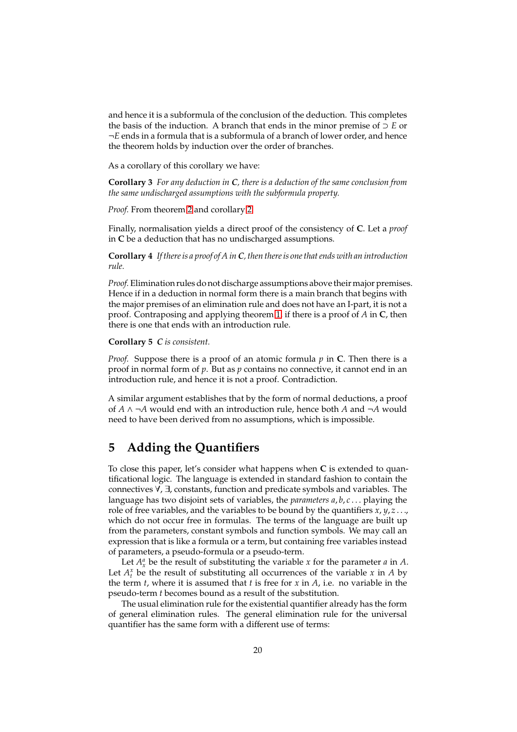and hence it is a subformula of the conclusion of the deduction. This completes the basis of the induction. A branch that ends in the minor premise of ⊃ *E* or ¬*E* ends in a formula that is a subformula of a branch of lower order, and hence the theorem holds by induction over the order of branches.

As a corollary of this corollary we have:

**Corollary 3** *For any deduction in C, there is a deduction of the same conclusion from the same undischarged assumptions with the subformula property.*

*Proof.* From theorem [2](#page-16-2) and corollary [2.](#page-18-0)

Finally, normalisation yields a direct proof of the consistency of **C**. Let a *proof* in **C** be a deduction that has no undischarged assumptions.

**Corollary 4** *If there is a proof of A inC, then there is one that ends with an introduction rule.*

*Proof.* Elimination rules do not discharge assumptions above their major premises. Hence if in a deduction in normal form there is a main branch that begins with the major premises of an elimination rule and does not have an I-part, it is not a proof. Contraposing and applying theorem [1,](#page-16-0) if there is a proof of *A* in **C**, then there is one that ends with an introduction rule.

**Corollary 5** *C is consistent.*

*Proof.* Suppose there is a proof of an atomic formula *p* in **C**. Then there is a proof in normal form of *p*. But as *p* contains no connective, it cannot end in an introduction rule, and hence it is not a proof. Contradiction.

A similar argument establishes that by the form of normal deductions, a proof of *A* ∧ ¬*A* would end with an introduction rule, hence both *A* and ¬*A* would need to have been derived from no assumptions, which is impossible.

# **5 Adding the Quantifiers**

To close this paper, let's consider what happens when **C** is extended to quantificational logic. The language is extended in standard fashion to contain the connectives ∀, ∃, constants, function and predicate symbols and variables. The language has two disjoint sets of variables, the *parameters a*, *b*, *c* . . . playing the role of free variables, and the variables to be bound by the quantifiers *x*, *y*, *z* . . ., which do not occur free in formulas. The terms of the language are built up from the parameters, constant symbols and function symbols. We may call an expression that is like a formula or a term, but containing free variables instead of parameters, a pseudo-formula or a pseudo-term.

Let  $A_x^a$  be the result of substituting the variable *x* for the parameter *a* in *A*. Let  $A_t^x$  be the result of substituting all occurrences of the variable  $x$  in  $A$  by the term *t*, where it is assumed that *t* is free for *x* in *A*, i.e. no variable in the pseudo-term *t* becomes bound as a result of the substitution.

The usual elimination rule for the existential quantifier already has the form of general elimination rules. The general elimination rule for the universal quantifier has the same form with a different use of terms: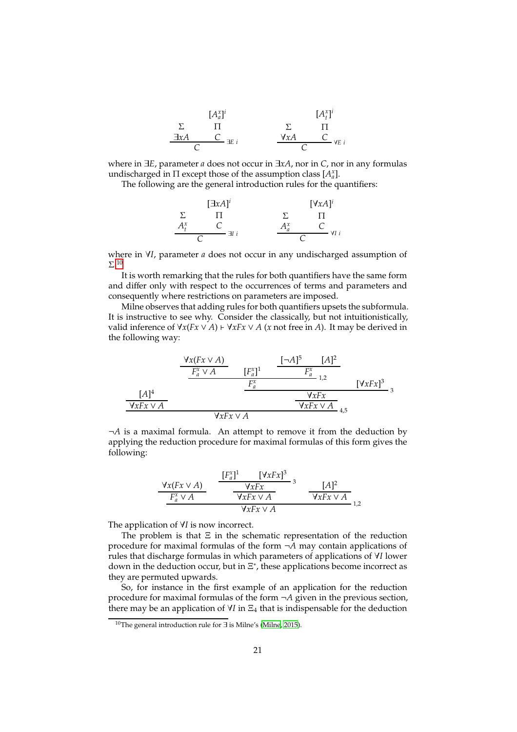|              | $[A_a^x]$ <sup>i</sup>                    |     | $[A_t^x]$ <sup>i</sup> |
|--------------|-------------------------------------------|-----|------------------------|
|              |                                           |     |                        |
| $\exists xA$ | $\frac{C}{\sqrt{2}}$ $\exists E$ <i>i</i> | ∀хA | $C_{\text{YE}i}$       |
|              |                                           |     |                        |

where in ∃*E*, parameter *a* does not occur in ∃*xA*, nor in *C*, nor in any formulas undischarged in  $\Pi$  except those of the assumption class  $[A^x_a]$ .

The following are the general introduction rules for the quantifiers:

$$
\begin{array}{ccc}\n & [\exists x A]^i & & [\forall x A]^i \\
\Sigma & \Pi & & \Sigma & \Pi \\
A_t^x & C & & A_a^x & C \\
C & & \downarrow & & C\n\end{array}
$$

where in ∀*I*, parameter *a* does not occur in any undischarged assumption of  $\Sigma$ <sup>[10](#page-20-0)</sup>

It is worth remarking that the rules for both quantifiers have the same form and differ only with respect to the occurrences of terms and parameters and consequently where restrictions on parameters are imposed.

Milne observes that adding rules for both quantifiers upsets the subformula. It is instructive to see why. Consider the classically, but not intuitionistically, *valid inference of*  $\forall x (Fx ∨ A) \vdash \forall x Fx ∨ A$  (*x* not free in *A*). It may be derived in the following way:

$$
\frac{\frac{\forall x (Fx \lor A)}{F_a^x \lor A} \qquad [F_a^x]^1 \qquad \frac{[-A]^5 \qquad [A]^2}{F_a^x}}{\frac{F_a^x}{F_a^x} \qquad \frac{F_x^x}{\sqrt{xFx \lor A}}}}{1,2}
$$
\n
$$
\frac{[\forall xFx \lor A]}{\sqrt{xFx \lor A}} \frac{[\forall xFx \lor A]}{\sqrt{xFx \lor A}}}{4,5}
$$

¬*A* is a maximal formula. An attempt to remove it from the deduction by applying the reduction procedure for maximal formulas of this form gives the following:

$$
\frac{\forall x (Fx \lor A)}{F_a^x \lor A} \qquad \frac{[F_a^x]^1 \qquad [\forall xFx]^3}{\forall xFx \lor A} \qquad 3 \qquad [A]^2}{\forall xFx \lor A} \qquad \frac{[A]^2}{\forall xFx \lor A} \qquad 1,2}
$$

The application of ∀*I* is now incorrect.

The problem is that  $E$  in the schematic representation of the reduction procedure for maximal formulas of the form ¬*A* may contain applications of rules that discharge formulas in which parameters of applications of ∀*I* lower down in the deduction occur, but in  $\Xi^*$ , these applications become incorrect as they are permuted upwards.

So, for instance in the first example of an application for the reduction procedure for maximal formulas of the form ¬*A* given in the previous section, there may be an application of  $\forall$ *I* in  $\Xi$ <sub>4</sub> that is indispensable for the deduction

<span id="page-20-0"></span><sup>10</sup>The general introduction rule for ∃ is Milne's [\(Milne, 2015\)](#page-23-2).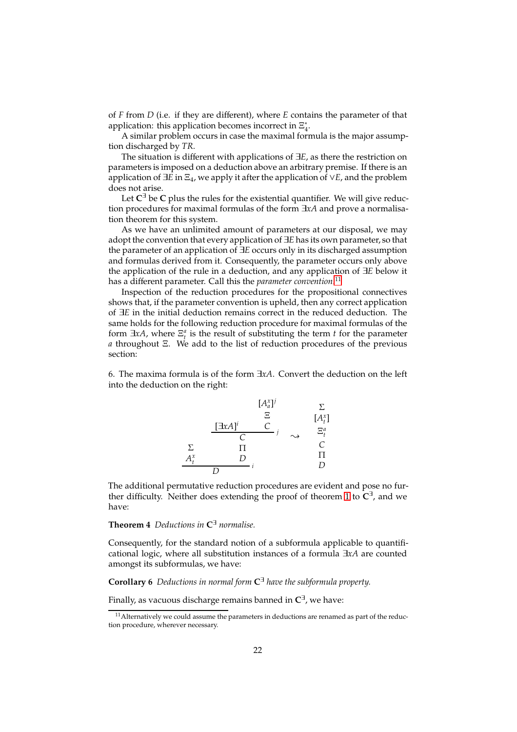of *F* from *D* (i.e. if they are different), where *E* contains the parameter of that application: this application becomes incorrect in  $\Xi_4^*$ .

A similar problem occurs in case the maximal formula is the major assumption discharged by *TR*.

The situation is different with applications of ∃*E*, as there the restriction on parameters is imposed on a deduction above an arbitrary premise. If there is an application of ∃*E* in Ξ4, we apply it after the application of ∨*E*, and the problem does not arise.

Let **C** <sup>∃</sup> be **C** plus the rules for the existential quantifier. We will give reduction procedures for maximal formulas of the form ∃*xA* and prove a normalisation theorem for this system.

As we have an unlimited amount of parameters at our disposal, we may adopt the convention that every application of ∃*E* has its own parameter, so that the parameter of an application of ∃*E* occurs only in its discharged assumption and formulas derived from it. Consequently, the parameter occurs only above the application of the rule in a deduction, and any application of ∃*E* below it has a different parameter. Call this the *parameter convention*. [11](#page-21-0)

Inspection of the reduction procedures for the propositional connectives shows that, if the parameter convention is upheld, then any correct application of ∃*E* in the initial deduction remains correct in the reduced deduction. The same holds for the following reduction procedure for maximal formulas of the form  $\exists x A$ , where  $\Xi_t^a$  is the result of substituting the term *t* for the parameter *a* throughout Ξ. We add to the list of reduction procedures of the previous section:

6. The maxima formula is of the form ∃*xA*. Convert the deduction on the left into the deduction on the right:



The additional permutative reduction procedures are evident and pose no further difficulty. Neither does extending the proof of theorem [1](#page-16-0) to **C** ∃ , and we have:

### <span id="page-21-1"></span>**Theorem 4** *Deductions in* **C** <sup>∃</sup> *normalise.*

Consequently, for the standard notion of a subformula applicable to quantificational logic, where all substitution instances of a formula ∃*xA* are counted amongst its subformulas, we have:

<span id="page-21-2"></span>**Corollary 6** *Deductions in normal form* **C** <sup>∃</sup> *have the subformula property.*

Finally, as vacuous discharge remains banned in **C** ∃ , we have:

<span id="page-21-0"></span> $11$  Alternatively we could assume the parameters in deductions are renamed as part of the reduction procedure, wherever necessary.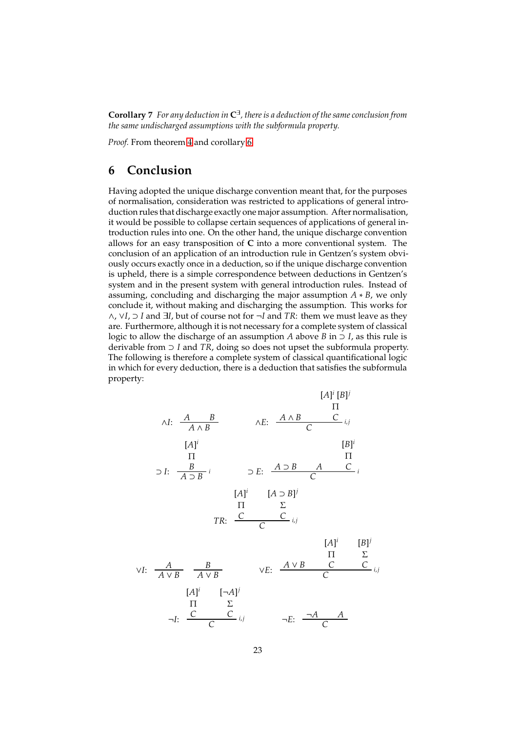**Corollary** 7 For any deduction in  $C^{\exists}$  , there is a deduction of the same conclusion from *the same undischarged assumptions with the subformula property.*

*Proof.* From theorem [4](#page-21-1) and corollary [6.](#page-21-2)

# **6 Conclusion**

Having adopted the unique discharge convention meant that, for the purposes of normalisation, consideration was restricted to applications of general introduction rules that discharge exactly one major assumption. After normalisation, it would be possible to collapse certain sequences of applications of general introduction rules into one. On the other hand, the unique discharge convention allows for an easy transposition of **C** into a more conventional system. The conclusion of an application of an introduction rule in Gentzen's system obviously occurs exactly once in a deduction, so if the unique discharge convention is upheld, there is a simple correspondence between deductions in Gentzen's system and in the present system with general introduction rules. Instead of assuming, concluding and discharging the major assumption *A* ∗ *B*, we only conclude it, without making and discharging the assumption. This works for ∧, ∨*I*, ⊃ *I* and ∃*I*, but of course not for ¬*I* and *TR*: them we must leave as they are. Furthermore, although it is not necessary for a complete system of classical logic to allow the discharge of an assumption *A* above *B* in  $\supset I$ , as this rule is derivable from ⊃ *I* and *TR*, doing so does not upset the subformula property. The following is therefore a complete system of classical quantificational logic in which for every deduction, there is a deduction that satisfies the subformula property:

$$
[A]^{i} [B]^{j}
$$
\n
$$
\wedge I: \frac{A}{A \wedge B} \xrightarrow{\qquad} \wedge E: \frac{A \wedge B}{C} \xrightarrow{\qquad} i, j
$$
\n
$$
[A]^{i}
$$
\n
$$
\Pi
$$
\n
$$
\supset I: \frac{B}{A \supset B} \xrightarrow{i} \supset E: \frac{A \supset B}{C} \xrightarrow{\qquad} A \xrightarrow{\qquad} C
$$
\n
$$
[A]^{i} \xrightarrow{\qquad} [A \supset B]^{j}
$$
\n
$$
\Pi \xrightarrow{\qquad} \Sigma
$$
\n
$$
TR: \frac{C}{C} \xrightarrow{\qquad} i, j
$$
\n
$$
[A]^{i} \xrightarrow{\qquad} [B]^{j}
$$
\n
$$
\Pi \xrightarrow{\qquad} \Sigma
$$
\n
$$
\vee I: \frac{A}{A \vee B} \xrightarrow{\qquad} \frac{B}{A \vee B} \qquad \vee E: \frac{A \vee B}{C} \xrightarrow{\qquad} \frac{C}{C} \xrightarrow{\qquad} i, j
$$
\n
$$
\neg I: \frac{C}{C} \xrightarrow{\qquad} i, j \qquad \neg E: \frac{\neg A \qquad A}{C}
$$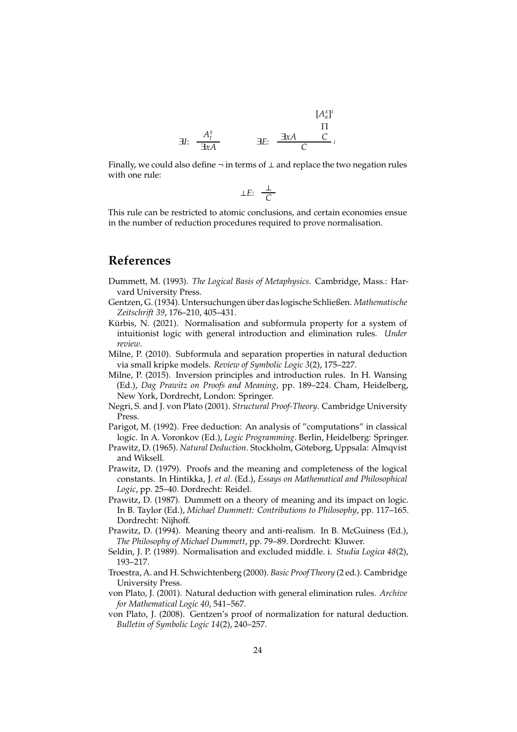$$
\begin{array}{ccc}\n & & [A_a^x]^i \\
\exists I: & \frac{A_t^x}{\exists x A} & \exists E: & \frac{\exists x A & C}{C}i\n\end{array}
$$

Finally, we could also define  $\neg$  in terms of  $\bot$  and replace the two negation rules with one rule:

$$
\perp E: \frac{\perp}{C}
$$

This rule can be restricted to atomic conclusions, and certain economies ensue in the number of reduction procedures required to prove normalisation.

### **References**

- <span id="page-23-11"></span>Dummett, M. (1993). *The Logical Basis of Metaphysics*. Cambridge, Mass.: Harvard University Press.
- <span id="page-23-0"></span>Gentzen, G. (1934). Untersuchungen ¨uber das logische Schließen. *Mathematische Zeitschrift 39*, 176–210, 405–431.
- <span id="page-23-4"></span>Kürbis, N. (2021). Normalisation and subformula property for a system of intuitionist logic with general introduction and elimination rules. *Under review*.
- <span id="page-23-10"></span>Milne, P. (2010). Subformula and separation properties in natural deduction via small kripke models. *Review of Symbolic Logic 3*(2), 175–227.
- <span id="page-23-2"></span>Milne, P. (2015). Inversion principles and introduction rules. In H. Wansing (Ed.), *Dag Prawitz on Proofs and Meaning*, pp. 189–224. Cham, Heidelberg, New York, Dordrecht, London: Springer.
- <span id="page-23-3"></span>Negri, S. and J. von Plato (2001). *Structural Proof-Theory*. Cambridge University Press.
- <span id="page-23-5"></span>Parigot, M. (1992). Free deduction: An analysis of "computations" in classical logic. In A. Voronkov (Ed.), *Logic Programming*. Berlin, Heidelberg: Springer.
- <span id="page-23-1"></span>Prawitz, D. (1965). *Natural Deduction*. Stockholm, Göteborg, Uppsala: Almqvist and Wiksell.
- <span id="page-23-9"></span>Prawitz, D. (1979). Proofs and the meaning and completeness of the logical constants. In Hintikka, J. *et al.* (Ed.), *Essays on Mathematical and Philosophical Logic*, pp. 25–40. Dordrecht: Reidel.
- <span id="page-23-12"></span>Prawitz, D. (1987). Dummett on a theory of meaning and its impact on logic. In B. Taylor (Ed.), *Michael Dummett: Contributions to Philosophy*, pp. 117–165. Dordrecht: Nijhoff.
- <span id="page-23-13"></span>Prawitz, D. (1994). Meaning theory and anti-realism. In B. McGuiness (Ed.), *The Philosophy of Michael Dummett*, pp. 79–89. Dordrecht: Kluwer.
- <span id="page-23-6"></span>Seldin, J. P. (1989). Normalisation and excluded middle. i. *Studia Logica 48*(2), 193–217.
- <span id="page-23-14"></span>Troestra, A. and H. Schwichtenberg (2000). *Basic Proof Theory* (2 ed.). Cambridge University Press.
- <span id="page-23-8"></span>von Plato, J. (2001). Natural deduction with general elimination rules. *Archive for Mathematical Logic 40*, 541–567.
- <span id="page-23-7"></span>von Plato, J. (2008). Gentzen's proof of normalization for natural deduction. *Bulletin of Symbolic Logic 14*(2), 240–257.